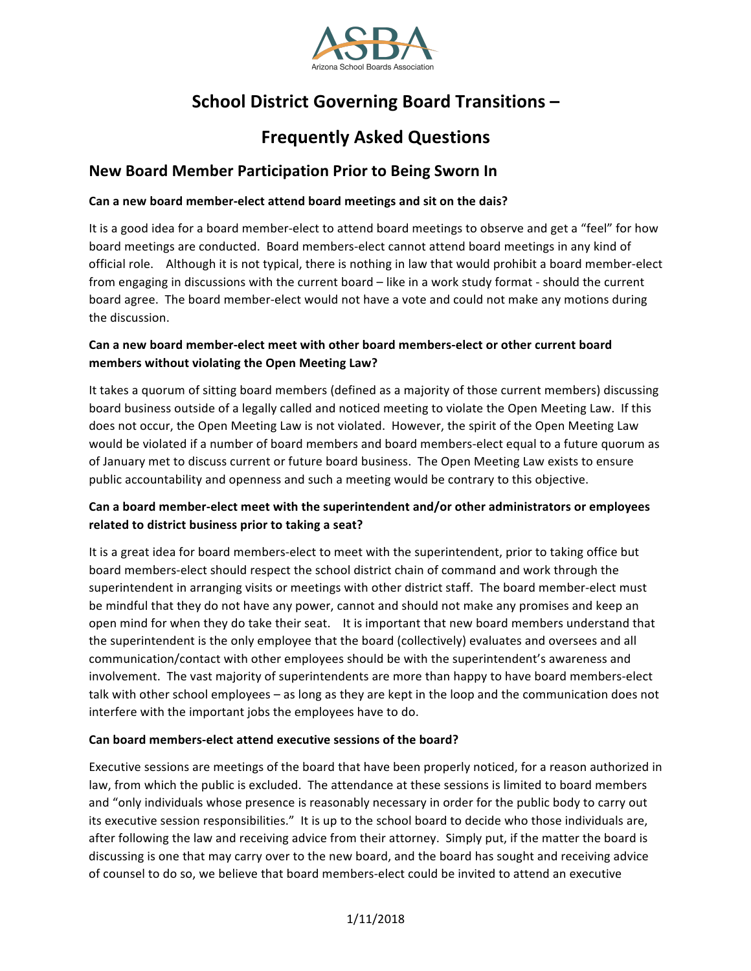

# **School District Governing Board Transitions -**

# **Frequently Asked Questions**

# **New Board Member Participation Prior to Being Sworn In**

### Can a new board member-elect attend board meetings and sit on the dais?

It is a good idea for a board member-elect to attend board meetings to observe and get a "feel" for how board meetings are conducted. Board members-elect cannot attend board meetings in any kind of official role. Although it is not typical, there is nothing in law that would prohibit a board member-elect from engaging in discussions with the current board – like in a work study format - should the current board agree. The board member-elect would not have a vote and could not make any motions during the discussion.

### Can a new board member-elect meet with other board members-elect or other current board members without violating the Open Meeting Law?

It takes a quorum of sitting board members (defined as a majority of those current members) discussing board business outside of a legally called and noticed meeting to violate the Open Meeting Law. If this does not occur, the Open Meeting Law is not violated. However, the spirit of the Open Meeting Law would be violated if a number of board members and board members-elect equal to a future quorum as of January met to discuss current or future board business. The Open Meeting Law exists to ensure public accountability and openness and such a meeting would be contrary to this objective.

### Can a board member-elect meet with the superintendent and/or other administrators or employees related to district business prior to taking a seat?

It is a great idea for board members-elect to meet with the superintendent, prior to taking office but board members-elect should respect the school district chain of command and work through the superintendent in arranging visits or meetings with other district staff. The board member-elect must be mindful that they do not have any power, cannot and should not make any promises and keep an open mind for when they do take their seat. It is important that new board members understand that the superintendent is the only employee that the board (collectively) evaluates and oversees and all communication/contact with other employees should be with the superintendent's awareness and involvement. The vast majority of superintendents are more than happy to have board members-elect talk with other school employees – as long as they are kept in the loop and the communication does not interfere with the important jobs the employees have to do.

### Can board members-elect attend executive sessions of the board?

Executive sessions are meetings of the board that have been properly noticed, for a reason authorized in law, from which the public is excluded. The attendance at these sessions is limited to board members and "only individuals whose presence is reasonably necessary in order for the public body to carry out its executive session responsibilities." It is up to the school board to decide who those individuals are, after following the law and receiving advice from their attorney. Simply put, if the matter the board is discussing is one that may carry over to the new board, and the board has sought and receiving advice of counsel to do so, we believe that board members-elect could be invited to attend an executive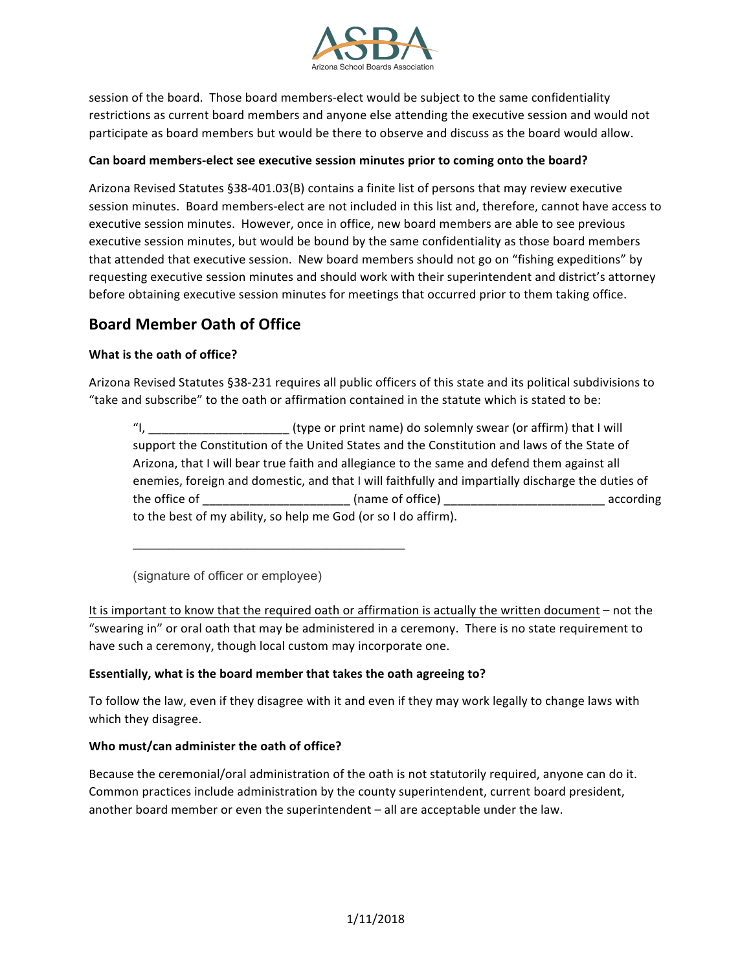

session of the board. Those board members-elect would be subject to the same confidentiality restrictions as current board members and anyone else attending the executive session and would not participate as board members but would be there to observe and discuss as the board would allow.

#### Can board members-elect see executive session minutes prior to coming onto the board?

Arizona Revised Statutes §38-401.03(B) contains a finite list of persons that may review executive session minutes. Board members-elect are not included in this list and, therefore, cannot have access to executive session minutes. However, once in office, new board members are able to see previous executive session minutes, but would be bound by the same confidentiality as those board members that attended that executive session. New board members should not go on "fishing expeditions" by requesting executive session minutes and should work with their superintendent and district's attorney before obtaining executive session minutes for meetings that occurred prior to them taking office.

## **Board Member Oath of Office**

### **What is the oath of office?**

Arizona Revised Statutes §38-231 requires all public officers of this state and its political subdivisions to "take and subscribe" to the oath or affirmation contained in the statute which is stated to be:

"I, \_\_\_\_\_\_\_\_\_\_\_\_\_\_\_\_\_\_\_\_\_\_\_\_\_\_\_\_\_\_\_(type or print name) do solemnly swear (or affirm) that I will support the Constitution of the United States and the Constitution and laws of the State of Arizona, that I will bear true faith and allegiance to the same and defend them against all enemies, foreign and domestic, and that I will faithfully and impartially discharge the duties of the office of \_\_\_\_\_\_\_\_\_\_\_\_\_\_\_\_\_\_\_\_\_\_\_\_\_\_(name of office) \_\_\_\_\_\_\_\_\_\_\_\_\_\_\_\_\_\_\_\_\_\_\_\_\_\_\_\_\_\_\_\_\_\_\_ according to the best of my ability, so help me God (or so I do affirm).

(signature of officer or employee)

It is important to know that the required oath or affirmation is actually the written document – not the "swearing in" or oral oath that may be administered in a ceremony. There is no state requirement to have such a ceremony, though local custom may incorporate one.

### **Essentially, what is the board member that takes the oath agreeing to?**

 $\mathcal{L}_\mathcal{L}$  , which is a set of the set of the set of the set of the set of the set of the set of the set of the set of the set of the set of the set of the set of the set of the set of the set of the set of the set of

To follow the law, even if they disagree with it and even if they may work legally to change laws with which they disagree.

### Who must/can administer the oath of office?

Because the ceremonial/oral administration of the oath is not statutorily required, anyone can do it. Common practices include administration by the county superintendent, current board president, another board member or even the superintendent - all are acceptable under the law.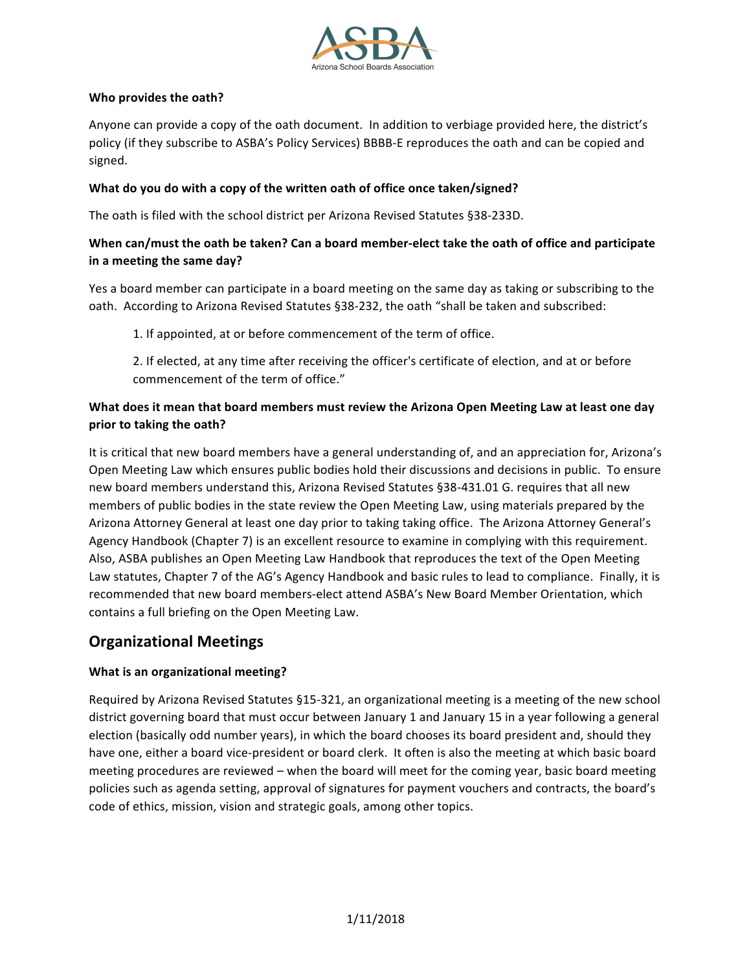

### **Who provides the oath?**

Anyone can provide a copy of the oath document. In addition to verbiage provided here, the district's policy (if they subscribe to ASBA's Policy Services) BBBB-E reproduces the oath and can be copied and signed.

### What do you do with a copy of the written oath of office once taken/signed?

The oath is filed with the school district per Arizona Revised Statutes §38-233D.

### When can/must the oath be taken? Can a board member-elect take the oath of office and participate in a meeting the same day?

Yes a board member can participate in a board meeting on the same day as taking or subscribing to the oath. According to Arizona Revised Statutes §38-232, the oath "shall be taken and subscribed:

1. If appointed, at or before commencement of the term of office.

2. If elected, at any time after receiving the officer's certificate of election, and at or before commencement of the term of office."

## **What does it mean that board members must review the Arizona Open Meeting Law at least one day prior to taking the oath?**

It is critical that new board members have a general understanding of, and an appreciation for, Arizona's Open Meeting Law which ensures public bodies hold their discussions and decisions in public. To ensure new board members understand this, Arizona Revised Statutes §38-431.01 G. requires that all new members of public bodies in the state review the Open Meeting Law, using materials prepared by the Arizona Attorney General at least one day prior to taking taking office. The Arizona Attorney General's Agency Handbook (Chapter 7) is an excellent resource to examine in complying with this requirement. Also, ASBA publishes an Open Meeting Law Handbook that reproduces the text of the Open Meeting Law statutes, Chapter 7 of the AG's Agency Handbook and basic rules to lead to compliance. Finally, it is recommended that new board members-elect attend ASBA's New Board Member Orientation, which contains a full briefing on the Open Meeting Law.

# **Organizational Meetings**

### **What is an organizational meeting?**

Required by Arizona Revised Statutes §15-321, an organizational meeting is a meeting of the new school district governing board that must occur between January 1 and January 15 in a year following a general election (basically odd number years), in which the board chooses its board president and, should they have one, either a board vice-president or board clerk. It often is also the meeting at which basic board meeting procedures are reviewed – when the board will meet for the coming year, basic board meeting policies such as agenda setting, approval of signatures for payment vouchers and contracts, the board's code of ethics, mission, vision and strategic goals, among other topics.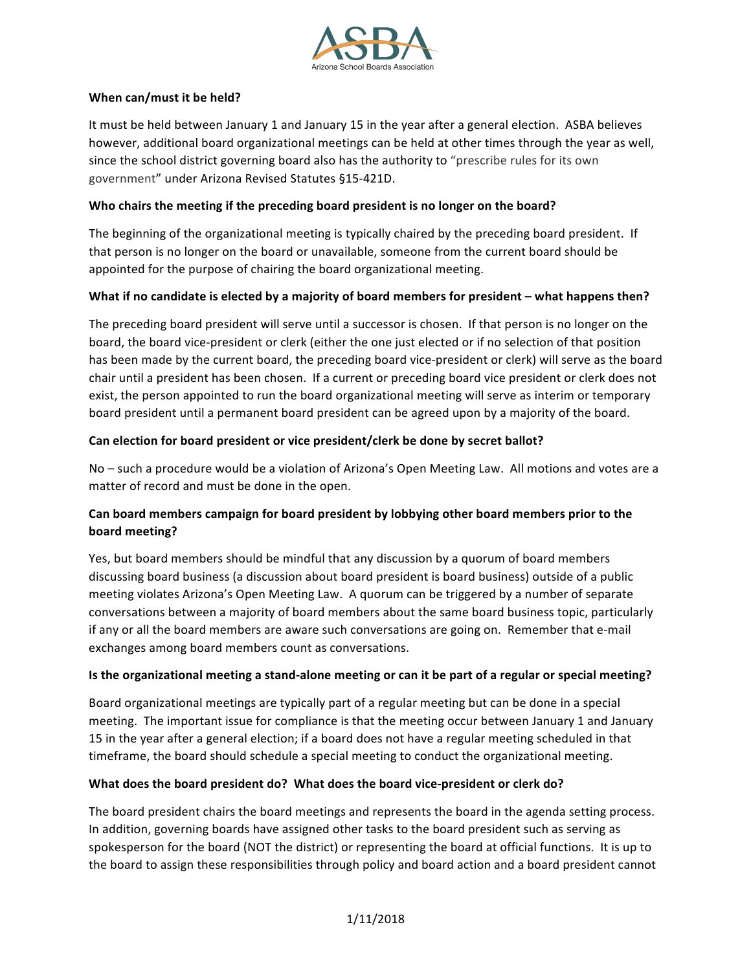

### **When can/must it be held?**

It must be held between January 1 and January 15 in the year after a general election. ASBA believes however, additional board organizational meetings can be held at other times through the year as well, since the school district governing board also has the authority to "prescribe rules for its own government" under Arizona Revised Statutes §15-421D.

### Who chairs the meeting if the preceding board president is no longer on the board?

The beginning of the organizational meeting is typically chaired by the preceding board president. If that person is no longer on the board or unavailable, someone from the current board should be appointed for the purpose of chairing the board organizational meeting.

### **What if no candidate is elected by a majority of board members for president – what happens then?**

The preceding board president will serve until a successor is chosen. If that person is no longer on the board, the board vice-president or clerk (either the one just elected or if no selection of that position has been made by the current board, the preceding board vice-president or clerk) will serve as the board chair until a president has been chosen. If a current or preceding board vice president or clerk does not exist, the person appointed to run the board organizational meeting will serve as interim or temporary board president until a permanent board president can be agreed upon by a majority of the board.

### Can election for board president or vice president/clerk be done by secret ballot?

No – such a procedure would be a violation of Arizona's Open Meeting Law. All motions and votes are a matter of record and must be done in the open.

### Can board members campaign for board president by lobbying other board members prior to the **board meeting?**

Yes, but board members should be mindful that any discussion by a quorum of board members discussing board business (a discussion about board president is board business) outside of a public meeting violates Arizona's Open Meeting Law. A quorum can be triggered by a number of separate conversations between a majority of board members about the same board business topic, particularly if any or all the board members are aware such conversations are going on. Remember that e-mail exchanges among board members count as conversations.

### **Is the organizational meeting a stand-alone meeting or can it be part of a regular or special meeting?**

Board organizational meetings are typically part of a regular meeting but can be done in a special meeting. The important issue for compliance is that the meeting occur between January 1 and January 15 in the year after a general election; if a board does not have a regular meeting scheduled in that timeframe, the board should schedule a special meeting to conduct the organizational meeting.

### What does the board president do? What does the board vice-president or clerk do?

The board president chairs the board meetings and represents the board in the agenda setting process. In addition, governing boards have assigned other tasks to the board president such as serving as spokesperson for the board (NOT the district) or representing the board at official functions. It is up to the board to assign these responsibilities through policy and board action and a board president cannot